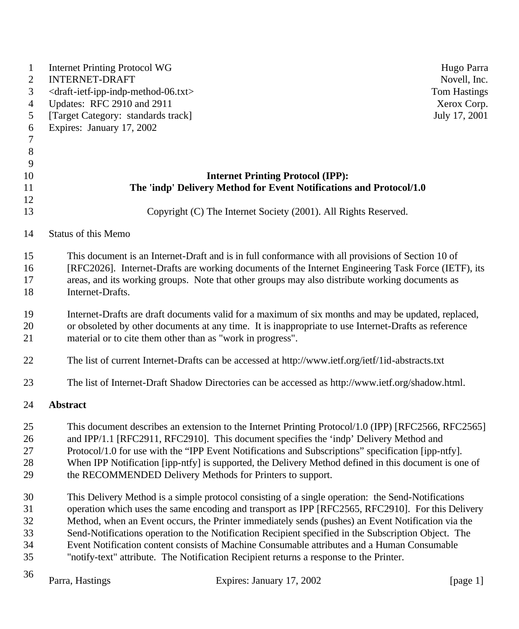| $\mathbf{1}$   | <b>Internet Printing Protocol WG</b>                                    |                                                                                                       | Hugo Parra          |
|----------------|-------------------------------------------------------------------------|-------------------------------------------------------------------------------------------------------|---------------------|
| $\mathbf{2}$   | <b>INTERNET-DRAFT</b>                                                   |                                                                                                       | Novell, Inc.        |
| 3              | <draft-ietf-ipp-indp-method-06.txt></draft-ietf-ipp-indp-method-06.txt> |                                                                                                       | <b>Tom Hastings</b> |
| 4              | Updates: RFC 2910 and 2911                                              |                                                                                                       | Xerox Corp.         |
| 5              | [Target Category: standards track]                                      |                                                                                                       | July 17, 2001       |
| 6              | Expires: January 17, 2002                                               |                                                                                                       |                     |
| 7              |                                                                         |                                                                                                       |                     |
| $8\phantom{1}$ |                                                                         |                                                                                                       |                     |
| 9              |                                                                         |                                                                                                       |                     |
| 10             |                                                                         | <b>Internet Printing Protocol (IPP):</b>                                                              |                     |
| 11             |                                                                         | The 'indp' Delivery Method for Event Notifications and Protocol/1.0                                   |                     |
| 12             |                                                                         |                                                                                                       |                     |
| 13             |                                                                         | Copyright (C) The Internet Society (2001). All Rights Reserved.                                       |                     |
| 14             | <b>Status of this Memo</b>                                              |                                                                                                       |                     |
| 15             |                                                                         | This document is an Internet-Draft and is in full conformance with all provisions of Section 10 of    |                     |
| 16             |                                                                         | [RFC2026]. Internet-Drafts are working documents of the Internet Engineering Task Force (IETF), its   |                     |
| 17             |                                                                         | areas, and its working groups. Note that other groups may also distribute working documents as        |                     |
| 18             | Internet-Drafts.                                                        |                                                                                                       |                     |
|                |                                                                         |                                                                                                       |                     |
| 19             |                                                                         | Internet-Drafts are draft documents valid for a maximum of six months and may be updated, replaced,   |                     |
| 20             |                                                                         | or obsoleted by other documents at any time. It is inappropriate to use Internet-Drafts as reference  |                     |
| 21             |                                                                         | material or to cite them other than as "work in progress".                                            |                     |
| 22             |                                                                         | The list of current Internet-Drafts can be accessed at http://www.ietf.org/ietf/1id-abstracts.txt     |                     |
| 23             |                                                                         | The list of Internet-Draft Shadow Directories can be accessed as http://www.ietf.org/shadow.html.     |                     |
| 24             | Abstract                                                                |                                                                                                       |                     |
| 25             |                                                                         | This document describes an extension to the Internet Printing Protocol/1.0 (IPP) [RFC2566, RFC2565]   |                     |
| 26             |                                                                         | and IPP/1.1 [RFC2911, RFC2910]. This document specifies the 'indp' Delivery Method and                |                     |
| 27             |                                                                         | Protocol/1.0 for use with the "IPP Event Notifications and Subscriptions" specification [ipp-ntfy].   |                     |
| 28             |                                                                         | When IPP Notification [ipp-ntfy] is supported, the Delivery Method defined in this document is one of |                     |
| 29             |                                                                         | the RECOMMENDED Delivery Methods for Printers to support.                                             |                     |
| 30             |                                                                         | This Delivery Method is a simple protocol consisting of a single operation: the Send-Notifications    |                     |
| 31             |                                                                         | operation which uses the same encoding and transport as IPP [RFC2565, RFC2910]. For this Delivery     |                     |
| 32             |                                                                         | Method, when an Event occurs, the Printer immediately sends (pushes) an Event Notification via the    |                     |
| 33             |                                                                         | Send-Notifications operation to the Notification Recipient specified in the Subscription Object. The  |                     |
| 34             |                                                                         | Event Notification content consists of Machine Consumable attributes and a Human Consumable           |                     |
| 35             |                                                                         | "notify-text" attribute. The Notification Recipient returns a response to the Printer.                |                     |
| 36             | Parra, Hastings                                                         | Expires: January 17, 2002                                                                             | [page $1$ ]         |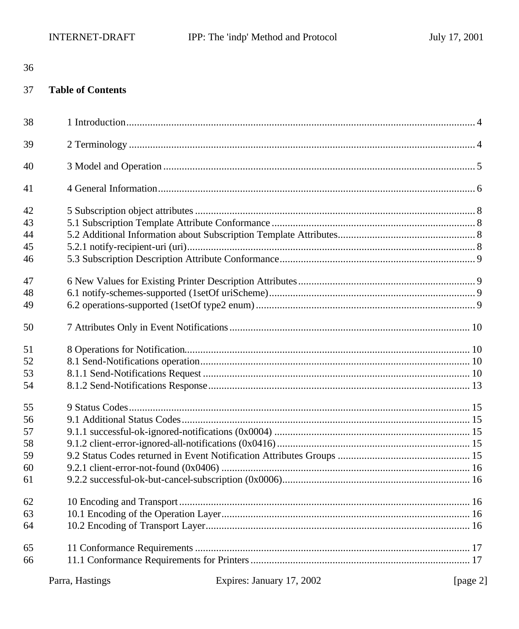#### 37 **Table of Contents**

| 38 |                 |                           |          |
|----|-----------------|---------------------------|----------|
| 39 |                 |                           |          |
| 40 |                 |                           |          |
| 41 |                 |                           |          |
| 42 |                 |                           |          |
| 43 |                 |                           |          |
| 44 |                 |                           |          |
| 45 |                 |                           |          |
| 46 |                 |                           |          |
| 47 |                 |                           |          |
| 48 |                 |                           |          |
| 49 |                 |                           |          |
| 50 |                 |                           |          |
| 51 |                 |                           |          |
| 52 |                 |                           |          |
| 53 |                 |                           |          |
| 54 |                 |                           |          |
| 55 |                 |                           |          |
| 56 |                 |                           |          |
| 57 |                 |                           |          |
| 58 |                 |                           |          |
| 59 |                 |                           |          |
| 60 |                 |                           |          |
| 61 |                 |                           |          |
| 62 |                 |                           |          |
| 63 |                 |                           |          |
| 64 |                 |                           |          |
| 65 |                 |                           |          |
| 66 |                 |                           |          |
|    | Parra, Hastings | Expires: January 17, 2002 | [page 2] |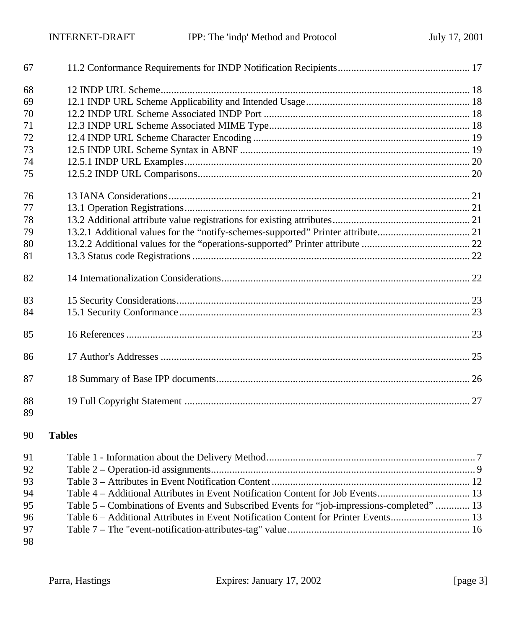| 67       |  |
|----------|--|
| 68       |  |
| 69       |  |
| 70       |  |
| 71       |  |
| 72       |  |
| 73       |  |
| 74       |  |
| 75       |  |
| 76       |  |
| 77       |  |
| 78       |  |
| 79       |  |
| 80       |  |
| 81       |  |
| 82       |  |
| 83       |  |
| 84       |  |
| 85       |  |
| 86       |  |
| 87       |  |
| 88<br>89 |  |

## **Tables**

| 91 |                                                                                            |  |
|----|--------------------------------------------------------------------------------------------|--|
| 92 |                                                                                            |  |
| 93 |                                                                                            |  |
| 94 |                                                                                            |  |
| 95 | Table 5 – Combinations of Events and Subscribed Events for "job-impressions-completed"  13 |  |
| 96 |                                                                                            |  |
| 97 |                                                                                            |  |
| 98 |                                                                                            |  |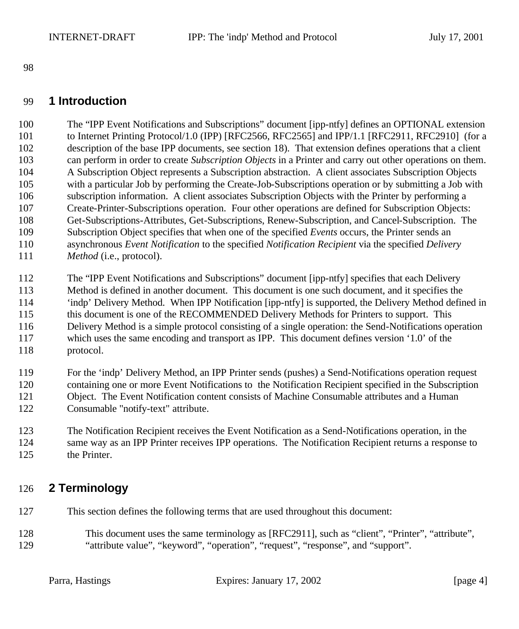## **1 Introduction**

 The "IPP Event Notifications and Subscriptions" document [ipp-ntfy] defines an OPTIONAL extension to Internet Printing Protocol/1.0 (IPP) [RFC2566, RFC2565] and IPP/1.1 [RFC2911, RFC2910] (for a description of the base IPP documents, see section 18). That extension defines operations that a client can perform in order to create *Subscription Objects* in a Printer and carry out other operations on them. A Subscription Object represents a Subscription abstraction. A client associates Subscription Objects with a particular Job by performing the Create-Job-Subscriptions operation or by submitting a Job with subscription information. A client associates Subscription Objects with the Printer by performing a Create-Printer-Subscriptions operation. Four other operations are defined for Subscription Objects: Get-Subscriptions-Attributes, Get-Subscriptions, Renew-Subscription, and Cancel-Subscription. The Subscription Object specifies that when one of the specified *Events* occurs, the Printer sends an asynchronous *Event Notification* to the specified *Notification Recipient* via the specified *Delivery Method* (i.e., protocol).

 The "IPP Event Notifications and Subscriptions" document [ipp-ntfy] specifies that each Delivery Method is defined in another document. This document is one such document, and it specifies the 'indp' Delivery Method. When IPP Notification [ipp-ntfy] is supported, the Delivery Method defined in this document is one of the RECOMMENDED Delivery Methods for Printers to support. This Delivery Method is a simple protocol consisting of a single operation: the Send-Notifications operation which uses the same encoding and transport as IPP. This document defines version '1.0' of the protocol.

 For the 'indp' Delivery Method, an IPP Printer sends (pushes) a Send-Notifications operation request containing one or more Event Notifications to the Notification Recipient specified in the Subscription Object. The Event Notification content consists of Machine Consumable attributes and a Human Consumable "notify-text" attribute.

 The Notification Recipient receives the Event Notification as a Send-Notifications operation, in the same way as an IPP Printer receives IPP operations. The Notification Recipient returns a response to the Printer.

## **2 Terminology**

This section defines the following terms that are used throughout this document:

 This document uses the same terminology as [RFC2911], such as "client", "Printer", "attribute", "attribute value", "keyword", "operation", "request", "response", and "support".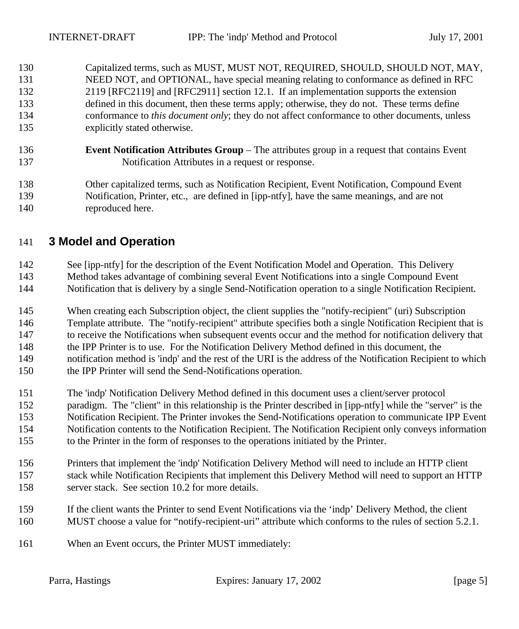Capitalized terms, such as MUST, MUST NOT, REQUIRED, SHOULD, SHOULD NOT, MAY, NEED NOT, and OPTIONAL, have special meaning relating to conformance as defined in RFC 2119 [RFC2119] and [RFC2911] section 12.1. If an implementation supports the extension defined in this document, then these terms apply; otherwise, they do not. These terms define conformance to *this document only*; they do not affect conformance to other documents, unless explicitly stated otherwise.

 **Event Notification Attributes Group** – The attributes group in a request that contains Event Notification Attributes in a request or response.

 Other capitalized terms, such as Notification Recipient, Event Notification, Compound Event Notification, Printer, etc., are defined in [ipp-ntfy], have the same meanings, and are not reproduced here.

## **3 Model and Operation**

142 See [ipp-ntfy] for the description of the Event Notification Model and Operation. This Delivery Method takes advantage of combining several Event Notifications into a single Compound Event Notification that is delivery by a single Send-Notification operation to a single Notification Recipient.

 When creating each Subscription object, the client supplies the "notify-recipient" (uri) Subscription Template attribute. The "notify-recipient" attribute specifies both a single Notification Recipient that is to receive the Notifications when subsequent events occur and the method for notification delivery that the IPP Printer is to use. For the Notification Delivery Method defined in this document, the notification method is 'indp' and the rest of the URI is the address of the Notification Recipient to which the IPP Printer will send the Send-Notifications operation.

- The 'indp' Notification Delivery Method defined in this document uses a client/server protocol
- paradigm. The "client" in this relationship is the Printer described in [ipp-ntfy] while the "server" is the
- Notification Recipient. The Printer invokes the Send-Notifications operation to communicate IPP Event
- Notification contents to the Notification Recipient. The Notification Recipient only conveys information
- to the Printer in the form of responses to the operations initiated by the Printer.
- Printers that implement the 'indp' Notification Delivery Method will need to include an HTTP client stack while Notification Recipients that implement this Delivery Method will need to support an HTTP server stack. See section 10.2 for more details.
- If the client wants the Printer to send Event Notifications via the 'indp' Delivery Method, the client MUST choose a value for "notify-recipient-uri" attribute which conforms to the rules of section 5.2.1.
- When an Event occurs, the Printer MUST immediately: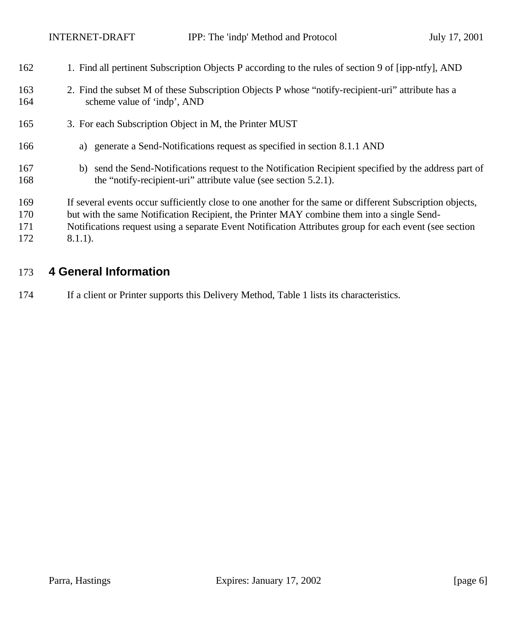| 162        | 1. Find all pertinent Subscription Objects P according to the rules of section 9 of [ipp-ntfy], AND                                                                         |
|------------|-----------------------------------------------------------------------------------------------------------------------------------------------------------------------------|
| 163<br>164 | 2. Find the subset M of these Subscription Objects P whose "notify-recipient-uri" attribute has a<br>scheme value of 'indp', AND                                            |
| 165        | 3. For each Subscription Object in M, the Printer MUST                                                                                                                      |
| 166        | a) generate a Send-Notifications request as specified in section 8.1.1 AND                                                                                                  |
| 167<br>168 | send the Send-Notifications request to the Notification Recipient specified by the address part of<br>b)<br>the "notify-recipient-uri" attribute value (see section 5.2.1). |
| 169        | If several events occur sufficiently close to one another for the same or different Subscription objects,                                                                   |
| 170        | but with the same Notification Recipient, the Printer MAY combine them into a single Send-                                                                                  |
| 171        | Notifications request using a separate Event Notification Attributes group for each event (see section                                                                      |
| 172        | $8.1.1$ ).                                                                                                                                                                  |

# **4 General Information**

If a client or Printer supports this Delivery Method, Table 1 lists its characteristics.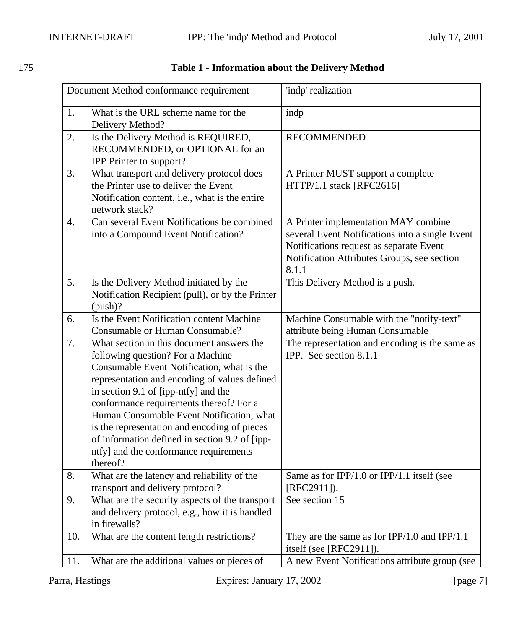| Document Method conformance requirement |                                                                                                                                                                                                                                                                                                                                                                                                                                                                       | 'indp' realization                                                                                                                                                                         |
|-----------------------------------------|-----------------------------------------------------------------------------------------------------------------------------------------------------------------------------------------------------------------------------------------------------------------------------------------------------------------------------------------------------------------------------------------------------------------------------------------------------------------------|--------------------------------------------------------------------------------------------------------------------------------------------------------------------------------------------|
| 1.                                      | What is the URL scheme name for the<br>Delivery Method?                                                                                                                                                                                                                                                                                                                                                                                                               | indp                                                                                                                                                                                       |
| 2.                                      | Is the Delivery Method is REQUIRED,<br>RECOMMENDED, or OPTIONAL for an<br><b>IPP</b> Printer to support?                                                                                                                                                                                                                                                                                                                                                              | <b>RECOMMENDED</b>                                                                                                                                                                         |
| 3.                                      | What transport and delivery protocol does<br>the Printer use to deliver the Event<br>Notification content, <i>i.e.</i> , what is the entire<br>network stack?                                                                                                                                                                                                                                                                                                         | A Printer MUST support a complete<br>HTTP/1.1 stack [RFC2616]                                                                                                                              |
| 4.                                      | Can several Event Notifications be combined<br>into a Compound Event Notification?                                                                                                                                                                                                                                                                                                                                                                                    | A Printer implementation MAY combine<br>several Event Notifications into a single Event<br>Notifications request as separate Event<br>Notification Attributes Groups, see section<br>8.1.1 |
| 5.                                      | Is the Delivery Method initiated by the<br>Notification Recipient (pull), or by the Printer<br>$(push)$ ?                                                                                                                                                                                                                                                                                                                                                             | This Delivery Method is a push.                                                                                                                                                            |
| 6.                                      | Is the Event Notification content Machine<br>Consumable or Human Consumable?                                                                                                                                                                                                                                                                                                                                                                                          | Machine Consumable with the "notify-text"<br>attribute being Human Consumable                                                                                                              |
| 7.                                      | What section in this document answers the<br>following question? For a Machine<br>Consumable Event Notification, what is the<br>representation and encoding of values defined<br>in section 9.1 of [ipp-ntfy] and the<br>conformance requirements thereof? For a<br>Human Consumable Event Notification, what<br>is the representation and encoding of pieces<br>of information defined in section 9.2 of [ipp-<br>ntfy] and the conformance requirements<br>thereof? | The representation and encoding is the same as<br>IPP. See section 8.1.1                                                                                                                   |
| 8.                                      | What are the latency and reliability of the<br>transport and delivery protocol?                                                                                                                                                                                                                                                                                                                                                                                       | Same as for IPP/1.0 or IPP/1.1 itself (see<br>$[RFC2911]$ ).                                                                                                                               |
| 9.                                      | What are the security aspects of the transport<br>and delivery protocol, e.g., how it is handled<br>in firewalls?                                                                                                                                                                                                                                                                                                                                                     | See section 15                                                                                                                                                                             |
| 10.                                     | What are the content length restrictions?                                                                                                                                                                                                                                                                                                                                                                                                                             | They are the same as for $IPP/1.0$ and $IPP/1.1$<br>itself (see [RFC2911]).                                                                                                                |
| 11.                                     | What are the additional values or pieces of                                                                                                                                                                                                                                                                                                                                                                                                                           | A new Event Notifications attribute group (see                                                                                                                                             |

## 175 **Table 1 - Information about the Delivery Method**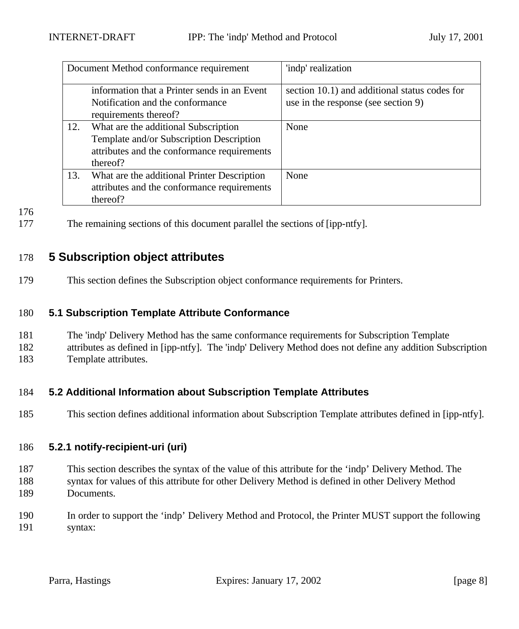|     | Document Method conformance requirement                                                                                                     | 'indp' realization                                                                   |
|-----|---------------------------------------------------------------------------------------------------------------------------------------------|--------------------------------------------------------------------------------------|
|     | information that a Printer sends in an Event<br>Notification and the conformance<br>requirements thereof?                                   | section 10.1) and additional status codes for<br>use in the response (see section 9) |
| 12. | What are the additional Subscription<br>Template and/or Subscription Description<br>attributes and the conformance requirements<br>thereof? | None                                                                                 |
| 13. | What are the additional Printer Description<br>attributes and the conformance requirements<br>thereof?                                      | None                                                                                 |

177 The remaining sections of this document parallel the sections of [ipp-ntfy].

## 178 **5 Subscription object attributes**

179 This section defines the Subscription object conformance requirements for Printers.

#### 180 **5.1 Subscription Template Attribute Conformance**

- 181 The 'indp' Delivery Method has the same conformance requirements for Subscription Template
- 182 attributes as defined in [ipp-ntfy]. The 'indp' Delivery Method does not define any addition Subscription 183 Template attributes.

## 184 **5.2 Additional Information about Subscription Template Attributes**

185 This section defines additional information about Subscription Template attributes defined in [ipp-ntfy].

#### 186 **5.2.1 notify-recipient-uri (uri)**

- 187 This section describes the syntax of the value of this attribute for the 'indp' Delivery Method. The
- 188 syntax for values of this attribute for other Delivery Method is defined in other Delivery Method 189 Documents.
- 190 In order to support the 'indp' Delivery Method and Protocol, the Printer MUST support the following 191 syntax: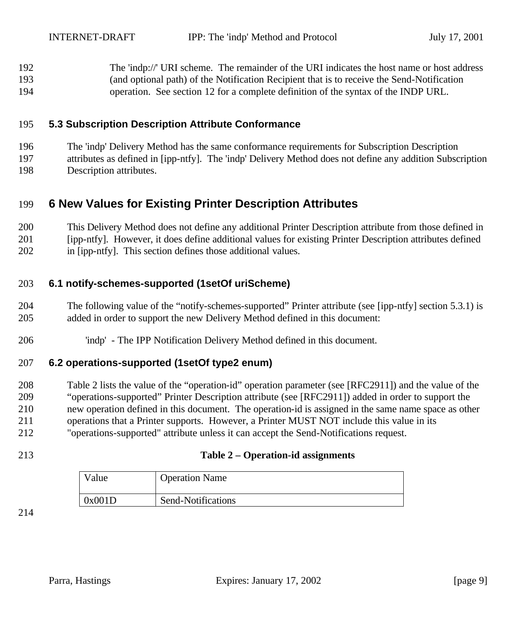The 'indp://' URI scheme. The remainder of the URI indicates the host name or host address (and optional path) of the Notification Recipient that is to receive the Send-Notification operation. See section 12 for a complete definition of the syntax of the INDP URL.

## **5.3 Subscription Description Attribute Conformance**

 The 'indp' Delivery Method has the same conformance requirements for Subscription Description attributes as defined in [ipp-ntfy]. The 'indp' Delivery Method does not define any addition Subscription

Description attributes.

## **6 New Values for Existing Printer Description Attributes**

 This Delivery Method does not define any additional Printer Description attribute from those defined in [ipp-ntfy]. However, it does define additional values for existing Printer Description attributes defined in [ipp-ntfy]. This section defines those additional values.

#### **6.1 notify-schemes-supported (1setOf uriScheme)**

- The following value of the "notify-schemes-supported" Printer attribute (see [ipp-ntfy] section 5.3.1) is added in order to support the new Delivery Method defined in this document:
- 'indp' The IPP Notification Delivery Method defined in this document.

#### **6.2 operations-supported (1setOf type2 enum)**

 Table 2 lists the value of the "operation-id" operation parameter (see [RFC2911]) and the value of the "operations-supported" Printer Description attribute (see [RFC2911]) added in order to support the new operation defined in this document. The operation-id is assigned in the same name space as other operations that a Printer supports. However, a Printer MUST NOT include this value in its "operations-supported" attribute unless it can accept the Send-Notifications request.

#### **Table 2 – Operation-id assignments**

| $v_{\text{alue}}$ | <b>Operation Name</b> |
|-------------------|-----------------------|
| 0x001D            | Send-Notifications    |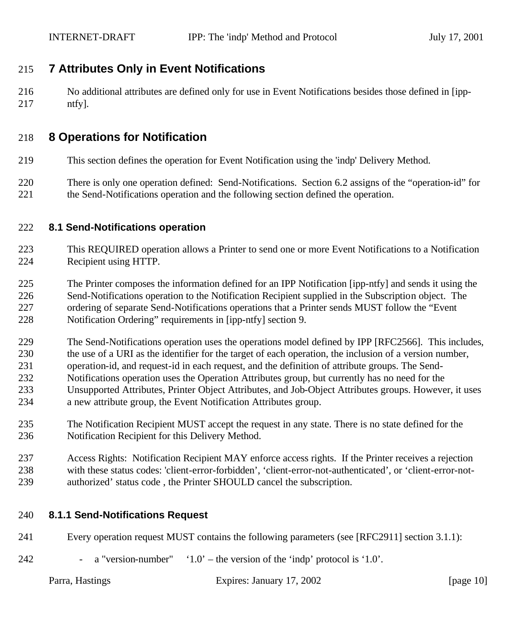## **7 Attributes Only in Event Notifications**

 No additional attributes are defined only for use in Event Notifications besides those defined in [ipp-ntfy].

## **8 Operations for Notification**

- This section defines the operation for Event Notification using the 'indp' Delivery Method.
- There is only one operation defined: Send-Notifications. Section 6.2 assigns of the "operation-id" for the Send-Notifications operation and the following section defined the operation.

#### **8.1 Send-Notifications operation**

- This REQUIRED operation allows a Printer to send one or more Event Notifications to a Notification Recipient using HTTP.
- The Printer composes the information defined for an IPP Notification [ipp-ntfy] and sends it using the Send-Notifications operation to the Notification Recipient supplied in the Subscription object. The ordering of separate Send-Notifications operations that a Printer sends MUST follow the "Event Notification Ordering" requirements in [ipp-ntfy] section 9.
- The Send-Notifications operation uses the operations model defined by IPP [RFC2566]. This includes, the use of a URI as the identifier for the target of each operation, the inclusion of a version number,
- operation-id, and request-id in each request, and the definition of attribute groups. The Send-
- Notifications operation uses the Operation Attributes group, but currently has no need for the
- Unsupported Attributes, Printer Object Attributes, and Job-Object Attributes groups. However, it uses
- a new attribute group, the Event Notification Attributes group.
- The Notification Recipient MUST accept the request in any state. There is no state defined for the Notification Recipient for this Delivery Method.
- Access Rights: Notification Recipient MAY enforce access rights. If the Printer receives a rejection with these status codes: 'client-error-forbidden', 'client-error-not-authenticated', or 'client-error-not-authorized' status code , the Printer SHOULD cancel the subscription.

#### **8.1.1 Send-Notifications Request**

- Every operation request MUST contains the following parameters (see [RFC2911] section 3.1.1):
- 242 a "version-number"  $\angle 1.0'$  the version of the 'indp' protocol is '1.0'.

| Parra, Hastings | Expires: January 17, 2002 | [page $10$ ] |
|-----------------|---------------------------|--------------|
|-----------------|---------------------------|--------------|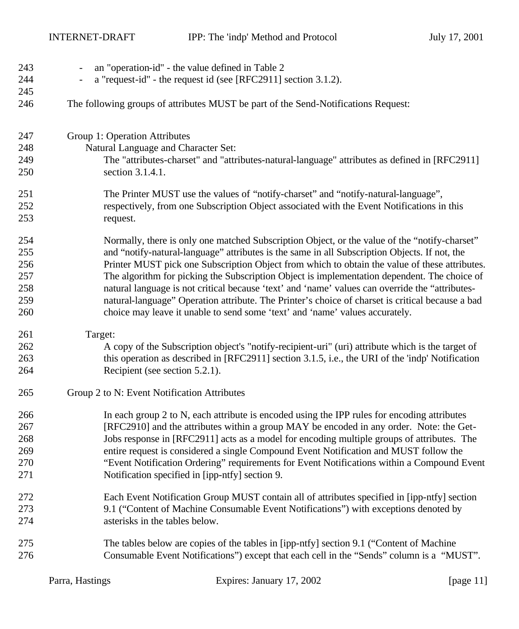INTERNET-DRAFT IPP: The 'indp' Method and Protocol July 17, 2001

| 243<br>244<br>245 | an "operation-id" - the value defined in Table 2<br>$\overline{\phantom{a}}$<br>a "request-id" - the request id (see [RFC2911] section 3.1.2).<br>$\overline{\phantom{a}}$ |
|-------------------|----------------------------------------------------------------------------------------------------------------------------------------------------------------------------|
| 246               | The following groups of attributes MUST be part of the Send-Notifications Request:                                                                                         |
| 247               | Group 1: Operation Attributes                                                                                                                                              |
| 248               | Natural Language and Character Set:                                                                                                                                        |
| 249               | The "attributes-charset" and "attributes-natural-language" attributes as defined in [RFC2911]                                                                              |
| 250               | section 3.1.4.1.                                                                                                                                                           |
| 251               | The Printer MUST use the values of "notify-charset" and "notify-natural-language",                                                                                         |
| 252               | respectively, from one Subscription Object associated with the Event Notifications in this                                                                                 |
| 253               | request.                                                                                                                                                                   |
| 254               | Normally, there is only one matched Subscription Object, or the value of the "notify-charset"                                                                              |
| 255               | and "notify-natural-language" attributes is the same in all Subscription Objects. If not, the                                                                              |
| 256               | Printer MUST pick one Subscription Object from which to obtain the value of these attributes.                                                                              |
| 257               | The algorithm for picking the Subscription Object is implementation dependent. The choice of                                                                               |
| 258               | natural language is not critical because 'text' and 'name' values can override the "attributes-                                                                            |
| 259               | natural-language" Operation attribute. The Printer's choice of charset is critical because a bad                                                                           |
| 260               | choice may leave it unable to send some 'text' and 'name' values accurately.                                                                                               |
| 261               | Target:                                                                                                                                                                    |
| 262               | A copy of the Subscription object's "notify-recipient-uri" (uri) attribute which is the target of                                                                          |
| 263               | this operation as described in [RFC2911] section 3.1.5, i.e., the URI of the 'indp' Notification                                                                           |
| 264               | Recipient (see section 5.2.1).                                                                                                                                             |
| 265               | Group 2 to N: Event Notification Attributes                                                                                                                                |
| 266               | In each group 2 to N, each attribute is encoded using the IPP rules for encoding attributes                                                                                |
| 267               | [RFC2910] and the attributes within a group MAY be encoded in any order. Note: the Get-                                                                                    |
| 268               | Jobs response in [RFC2911] acts as a model for encoding multiple groups of attributes. The                                                                                 |
| 269               | entire request is considered a single Compound Event Notification and MUST follow the                                                                                      |
| 270               | "Event Notification Ordering" requirements for Event Notifications within a Compound Event                                                                                 |
| 271               | Notification specified in [ipp-ntfy] section 9.                                                                                                                            |
| 272               | Each Event Notification Group MUST contain all of attributes specified in [ipp-ntfy] section                                                                               |
| 273               | 9.1 ("Content of Machine Consumable Event Notifications") with exceptions denoted by                                                                                       |
| 274               | asterisks in the tables below.                                                                                                                                             |
| 275               | The tables below are copies of the tables in [ipp-ntfy] section 9.1 ("Content of Machine"                                                                                  |
| 276               | Consumable Event Notifications") except that each cell in the "Sends" column is a "MUST".                                                                                  |
|                   |                                                                                                                                                                            |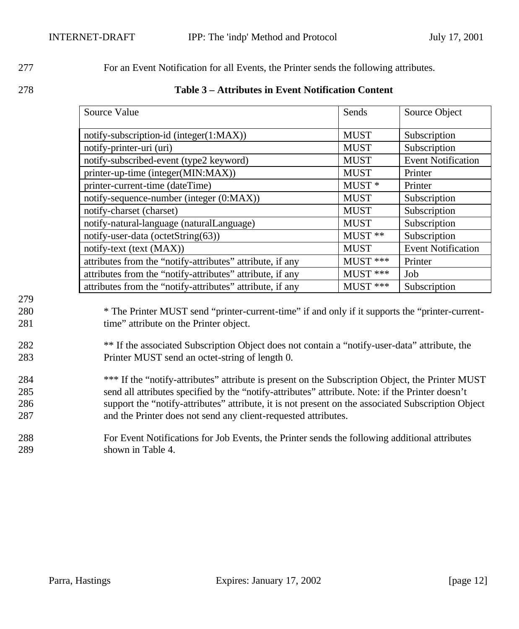277 For an Event Notification for all Events, the Printer sends the following attributes.

278 **Table 3 – Attributes in Event Notification Content**

| Source Value                                              | Sends       | Source Object             |
|-----------------------------------------------------------|-------------|---------------------------|
| notify-subscription-id (integer(1:MAX))                   | <b>MUST</b> | Subscription              |
| notify-printer-uri (uri)                                  | <b>MUST</b> | Subscription              |
| notify-subscribed-event (type2 keyword)                   | <b>MUST</b> | <b>Event Notification</b> |
| printer-up-time (integer(MIN:MAX))                        | <b>MUST</b> | Printer                   |
| printer-current-time (dateTime)                           | $MUST*$     | Printer                   |
| notify-sequence-number (integer (0:MAX))                  | <b>MUST</b> | Subscription              |
| notify-charset (charset)                                  | <b>MUST</b> | Subscription              |
| notify-natural-language (naturalLanguage)                 | <b>MUST</b> | Subscription              |
| notify-user-data (octetString $(63)$ )                    | $MUST$ **   | Subscription              |
| notify-text (text (MAX))                                  | <b>MUST</b> | <b>Event Notification</b> |
| attributes from the "notify-attributes" attribute, if any | $MUST$ ***  | Printer                   |
| attributes from the "notify-attributes" attribute, if any | $MUST$ ***  | Job                       |
| attributes from the "notify-attributes" attribute, if any | $MUST$ ***  | Subscription              |

## 279

280 \* The Printer MUST send "printer-current-time" if and only if it supports the "printer-current-281 time" attribute on the Printer object.

## <sup>282</sup> \*\* If the associated Subscription Object does not contain a "notify-user-data" attribute, the 283 Printer MUST send an octet-string of length 0.

- 284 \*\*\* If the "notify-attributes" attribute is present on the Subscription Object, the Printer MUST 285 send all attributes specified by the "notify-attributes" attribute. Note: if the Printer doesn't 286 support the "notify-attributes" attribute, it is not present on the associated Subscription Object 287 and the Printer does not send any client-requested attributes.
- 288 For Event Notifications for Job Events, the Printer sends the following additional attributes 289 shown in Table 4.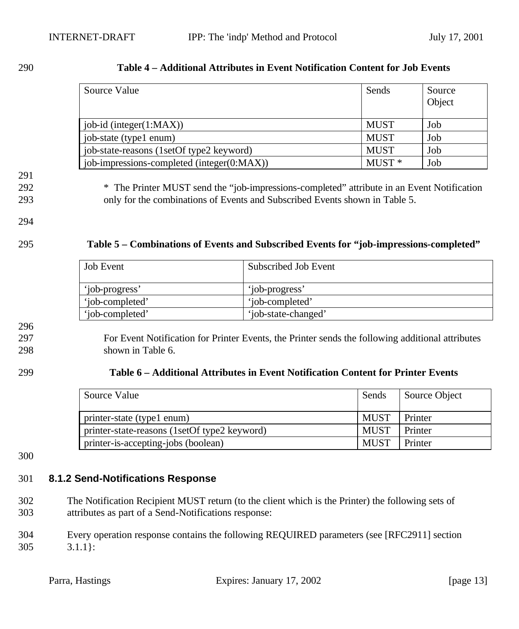#### 290 **Table 4 – Additional Attributes in Event Notification Content for Job Events**

| Source Value                               | Sends             | Source<br>Object |
|--------------------------------------------|-------------------|------------------|
| job-id (integer $(1:MAX)$ )                | <b>MUST</b>       | Job              |
| job-state (type1 enum)                     | <b>MUST</b>       | Job              |
| job-state-reasons (1setOf type2 keyword)   | <b>MUST</b>       | Job              |
| job-impressions-completed (integer(0:MAX)) | MUST <sup>*</sup> | Job              |

#### 291

292 \* The Printer MUST send the "job-impressions-completed" attribute in an Event Notification 293 only for the combinations of Events and Subscribed Events shown in Table 5.

## 294

#### 295 **Table 5 – Combinations of Events and Subscribed Events for "job-impressions-completed"**

| <b>Job Event</b> | Subscribed Job Event |
|------------------|----------------------|
| 'job-progress'   | 'job-progress'       |
| 'iob-completed'  | 'iob-completed'      |
| 'iob-completed'  | 'job-state-changed'  |

296

#### 297 For Event Notification for Printer Events, the Printer sends the following additional attributes 298 shown in Table 6.

#### 299 **Table 6 – Additional Attributes in Event Notification Content for Printer Events**

| Source Value                                 | Sends       | Source Object |
|----------------------------------------------|-------------|---------------|
| printer-state (type1 enum)                   | <b>MUST</b> | Printer       |
| printer-state-reasons (1setOf type2 keyword) | <b>MUST</b> | Printer       |
| printer-is-accepting-jobs (boolean)          | <b>MUST</b> | Printer       |

300

## 301 **8.1.2 Send-Notifications Response**

- 302 The Notification Recipient MUST return (to the client which is the Printer) the following sets of 303 attributes as part of a Send-Notifications response:
- 304 Every operation response contains the following REQUIRED parameters (see [RFC2911] section 305 3.1.1}: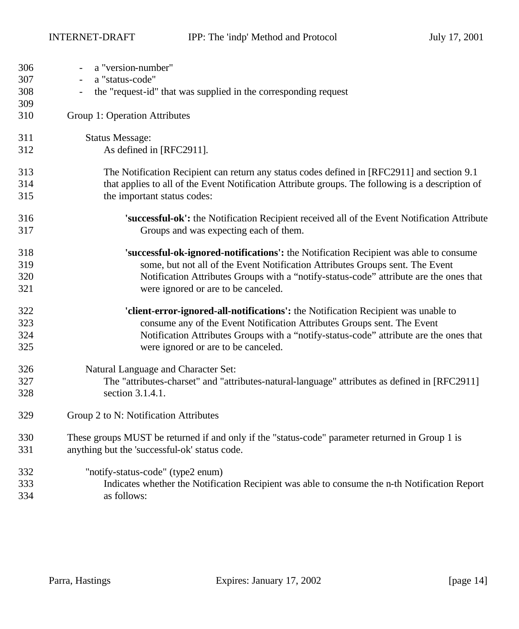| 306 | a "version-number"                                                                                |
|-----|---------------------------------------------------------------------------------------------------|
| 307 | a "status-code"<br>$\overline{\phantom{a}}$                                                       |
| 308 | the "request-id" that was supplied in the corresponding request<br>$\overline{\phantom{a}}$       |
| 309 |                                                                                                   |
| 310 | Group 1: Operation Attributes                                                                     |
| 311 | <b>Status Message:</b>                                                                            |
| 312 | As defined in [RFC2911].                                                                          |
| 313 | The Notification Recipient can return any status codes defined in [RFC2911] and section 9.1       |
| 314 | that applies to all of the Event Notification Attribute groups. The following is a description of |
| 315 | the important status codes:                                                                       |
| 316 | 'successful-ok': the Notification Recipient received all of the Event Notification Attribute      |
| 317 | Groups and was expecting each of them.                                                            |
| 318 | 'successful-ok-ignored-notifications': the Notification Recipient was able to consume             |
| 319 | some, but not all of the Event Notification Attributes Groups sent. The Event                     |
| 320 | Notification Attributes Groups with a "notify-status-code" attribute are the ones that            |
| 321 | were ignored or are to be canceled.                                                               |
| 322 | 'client-error-ignored-all-notifications': the Notification Recipient was unable to                |
| 323 | consume any of the Event Notification Attributes Groups sent. The Event                           |
| 324 | Notification Attributes Groups with a "notify-status-code" attribute are the ones that            |
| 325 | were ignored or are to be canceled.                                                               |
| 326 | Natural Language and Character Set:                                                               |
| 327 | The "attributes-charset" and "attributes-natural-language" attributes as defined in [RFC2911]     |
| 328 | section 3.1.4.1.                                                                                  |
| 329 | Group 2 to N: Notification Attributes                                                             |
| 330 | These groups MUST be returned if and only if the "status-code" parameter returned in Group 1 is   |
| 331 | anything but the 'successful-ok' status code.                                                     |
| 332 | "notify-status-code" (type2 enum)                                                                 |
| 333 | Indicates whether the Notification Recipient was able to consume the n-th Notification Report     |
| 334 | as follows:                                                                                       |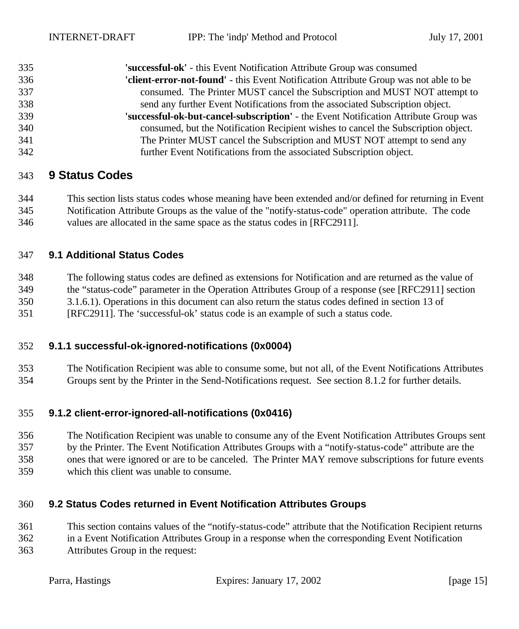| 335 | 'successful-ok' - this Event Notification Attribute Group was consumed                |
|-----|---------------------------------------------------------------------------------------|
| 336 | 'client-error-not-found' - this Event Notification Attribute Group was not able to be |
| 337 | consumed. The Printer MUST cancel the Subscription and MUST NOT attempt to            |
| 338 | send any further Event Notifications from the associated Subscription object.         |
| 339 | 'successful-ok-but-cancel-subscription' - the Event Notification Attribute Group was  |
| 340 | consumed, but the Notification Recipient wishes to cancel the Subscription object.    |
| 341 | The Printer MUST cancel the Subscription and MUST NOT attempt to send any             |
| 342 | further Event Notifications from the associated Subscription object.                  |

## **9 Status Codes**

 This section lists status codes whose meaning have been extended and/or defined for returning in Event Notification Attribute Groups as the value of the "notify-status-code" operation attribute. The code values are allocated in the same space as the status codes in [RFC2911].

#### **9.1 Additional Status Codes**

 The following status codes are defined as extensions for Notification and are returned as the value of the "status-code" parameter in the Operation Attributes Group of a response (see [RFC2911] section 3.1.6.1). Operations in this document can also return the status codes defined in section 13 of [RFC2911]. The 'successful-ok' status code is an example of such a status code.

#### **9.1.1 successful-ok-ignored-notifications (0x0004)**

 The Notification Recipient was able to consume some, but not all, of the Event Notifications Attributes Groups sent by the Printer in the Send-Notifications request. See section 8.1.2 for further details.

#### **9.1.2 client-error-ignored-all-notifications (0x0416)**

 The Notification Recipient was unable to consume any of the Event Notification Attributes Groups sent by the Printer. The Event Notification Attributes Groups with a "notify-status-code" attribute are the ones that were ignored or are to be canceled. The Printer MAY remove subscriptions for future events which this client was unable to consume.

#### **9.2 Status Codes returned in Event Notification Attributes Groups**

This section contains values of the "notify-status-code" attribute that the Notification Recipient returns

 in a Event Notification Attributes Group in a response when the corresponding Event Notification Attributes Group in the request: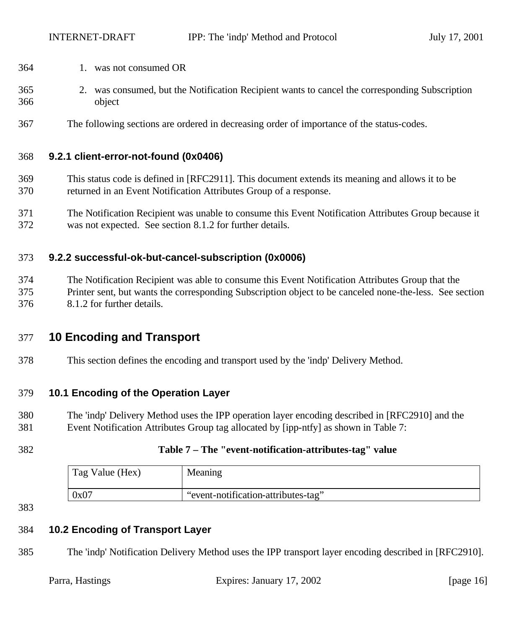- 1. was not consumed OR
- 2. was consumed, but the Notification Recipient wants to cancel the corresponding Subscription object
- The following sections are ordered in decreasing order of importance of the status-codes.

#### **9.2.1 client-error-not-found (0x0406)**

- This status code is defined in [RFC2911]. This document extends its meaning and allows it to be returned in an Event Notification Attributes Group of a response.
- The Notification Recipient was unable to consume this Event Notification Attributes Group because it was not expected. See section 8.1.2 for further details.

#### **9.2.2 successful-ok-but-cancel-subscription (0x0006)**

 The Notification Recipient was able to consume this Event Notification Attributes Group that the Printer sent, but wants the corresponding Subscription object to be canceled none-the-less. See section 8.1.2 for further details.

## **10 Encoding and Transport**

This section defines the encoding and transport used by the 'indp' Delivery Method.

#### **10.1 Encoding of the Operation Layer**

- The 'indp' Delivery Method uses the IPP operation layer encoding described in [RFC2910] and the Event Notification Attributes Group tag allocated by [ipp-ntfy] as shown in Table 7:
- 
- 

#### **Table 7 – The "event-notification-attributes-tag" value**

| Tag Value (Hex) | Meaning                             |
|-----------------|-------------------------------------|
| 0x07            | "event-notification-attributes-tag" |

#### 

## **10.2 Encoding of Transport Layer**

The 'indp' Notification Delivery Method uses the IPP transport layer encoding described in [RFC2910].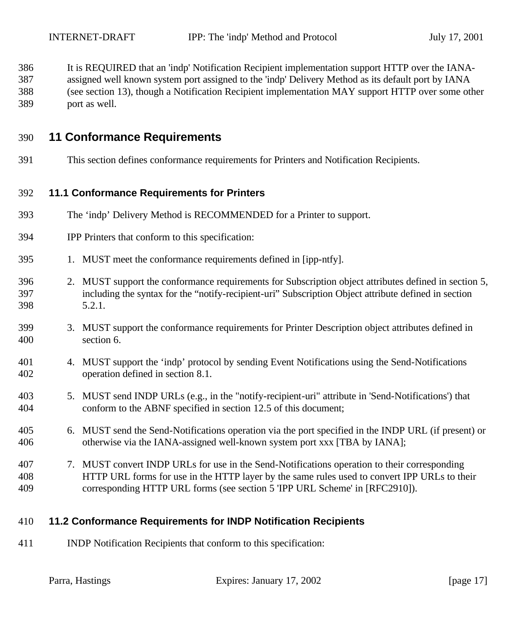- It is REQUIRED that an 'indp' Notification Recipient implementation support HTTP over the IANA-assigned well known system port assigned to the 'indp' Delivery Method as its default port by IANA
- (see section 13), though a Notification Recipient implementation MAY support HTTP over some other
- port as well.

## **11 Conformance Requirements**

This section defines conformance requirements for Printers and Notification Recipients.

#### **11.1 Conformance Requirements for Printers**

- The 'indp' Delivery Method is RECOMMENDED for a Printer to support.
- IPP Printers that conform to this specification:
- 1. MUST meet the conformance requirements defined in [ipp-ntfy].
- 2. MUST support the conformance requirements for Subscription object attributes defined in section 5, including the syntax for the "notify-recipient-uri" Subscription Object attribute defined in section 5.2.1.
- 3. MUST support the conformance requirements for Printer Description object attributes defined in section 6.
- 4. MUST support the 'indp' protocol by sending Event Notifications using the Send-Notifications operation defined in section 8.1.
- 5. MUST send INDP URLs (e.g., in the "notify-recipient-uri" attribute in 'Send-Notifications') that conform to the ABNF specified in section 12.5 of this document;
- 6. MUST send the Send-Notifications operation via the port specified in the INDP URL (if present) or otherwise via the IANA-assigned well-known system port xxx [TBA by IANA];
- 7. MUST convert INDP URLs for use in the Send-Notifications operation to their corresponding HTTP URL forms for use in the HTTP layer by the same rules used to convert IPP URLs to their corresponding HTTP URL forms (see section 5 'IPP URL Scheme' in [RFC2910]).

## **11.2 Conformance Requirements for INDP Notification Recipients**

INDP Notification Recipients that conform to this specification: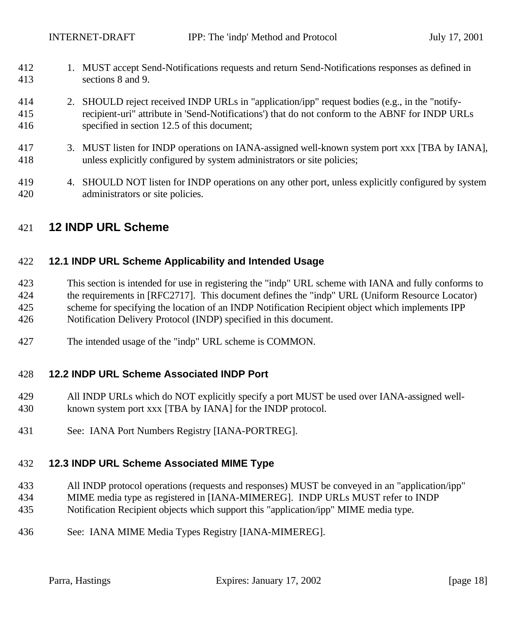- 1. MUST accept Send-Notifications requests and return Send-Notifications responses as defined in sections 8 and 9.
- 2. SHOULD reject received INDP URLs in "application/ipp" request bodies (e.g., in the "notify- recipient-uri" attribute in 'Send-Notifications') that do not conform to the ABNF for INDP URLs specified in section 12.5 of this document;
- 3. MUST listen for INDP operations on IANA-assigned well-known system port xxx [TBA by IANA], unless explicitly configured by system administrators or site policies;
- 4. SHOULD NOT listen for INDP operations on any other port, unless explicitly configured by system administrators or site policies.

## **12 INDP URL Scheme**

#### **12.1 INDP URL Scheme Applicability and Intended Usage**

- This section is intended for use in registering the "indp" URL scheme with IANA and fully conforms to the requirements in [RFC2717]. This document defines the "indp" URL (Uniform Resource Locator) scheme for specifying the location of an INDP Notification Recipient object which implements IPP Notification Delivery Protocol (INDP) specified in this document.
- The intended usage of the "indp" URL scheme is COMMON.

#### **12.2 INDP URL Scheme Associated INDP Port**

- All INDP URLs which do NOT explicitly specify a port MUST be used over IANA-assigned well-known system port xxx [TBA by IANA] for the INDP protocol.
- See: IANA Port Numbers Registry [IANA-PORTREG].

#### **12.3 INDP URL Scheme Associated MIME Type**

- All INDP protocol operations (requests and responses) MUST be conveyed in an "application/ipp"
- MIME media type as registered in [IANA-MIMEREG]. INDP URLs MUST refer to INDP
- Notification Recipient objects which support this "application/ipp" MIME media type.
- See: IANA MIME Media Types Registry [IANA-MIMEREG].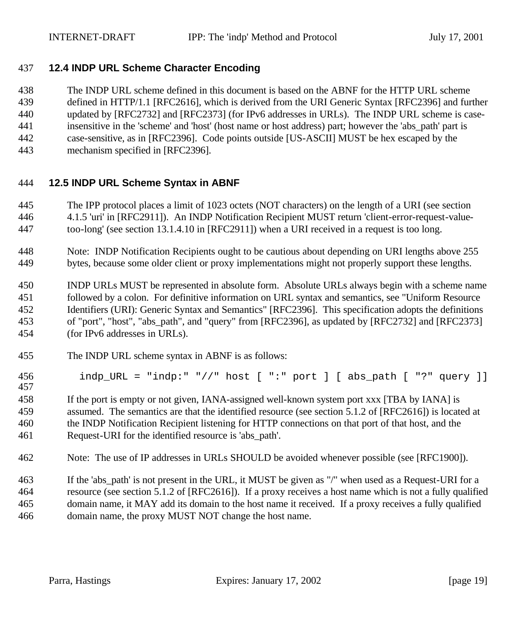## **12.4 INDP URL Scheme Character Encoding**

The INDP URL scheme defined in this document is based on the ABNF for the HTTP URL scheme

defined in HTTP/1.1 [RFC2616], which is derived from the URI Generic Syntax [RFC2396] and further

updated by [RFC2732] and [RFC2373] (for IPv6 addresses in URLs). The INDP URL scheme is case-

insensitive in the 'scheme' and 'host' (host name or host address) part; however the 'abs\_path' part is

- case-sensitive, as in [RFC2396]. Code points outside [US-ASCII] MUST be hex escaped by the
- mechanism specified in [RFC2396].

#### **12.5 INDP URL Scheme Syntax in ABNF**

- The IPP protocol places a limit of 1023 octets (NOT characters) on the length of a URI (see section
- 4.1.5 'uri' in [RFC2911]). An INDP Notification Recipient MUST return 'client-error-request-value-
- too-long' (see section 13.1.4.10 in [RFC2911]) when a URI received in a request is too long.
- Note: INDP Notification Recipients ought to be cautious about depending on URI lengths above 255 bytes, because some older client or proxy implementations might not properly support these lengths.

 INDP URLs MUST be represented in absolute form. Absolute URLs always begin with a scheme name followed by a colon. For definitive information on URL syntax and semantics, see "Uniform Resource Identifiers (URI): Generic Syntax and Semantics" [RFC2396]. This specification adopts the definitions of "port", "host", "abs\_path", and "query" from [RFC2396], as updated by [RFC2732] and [RFC2373] (for IPv6 addresses in URLs).

- The INDP URL scheme syntax in ABNF is as follows:
- 456 indp\_URL = "indp:" "//" host  $[$  ":" port  $]$   $[$  abs\_path  $[$  "?" query  $]$ ]

 If the port is empty or not given, IANA-assigned well-known system port xxx [TBA by IANA] is assumed. The semantics are that the identified resource (see section 5.1.2 of [RFC2616]) is located at the INDP Notification Recipient listening for HTTP connections on that port of that host, and the Request-URI for the identified resource is 'abs\_path'.

- Note: The use of IP addresses in URLs SHOULD be avoided whenever possible (see [RFC1900]).
- If the 'abs\_path' is not present in the URL, it MUST be given as "/" when used as a Request-URI for a resource (see section 5.1.2 of [RFC2616]). If a proxy receives a host name which is not a fully qualified domain name, it MAY add its domain to the host name it received. If a proxy receives a fully qualified domain name, the proxy MUST NOT change the host name.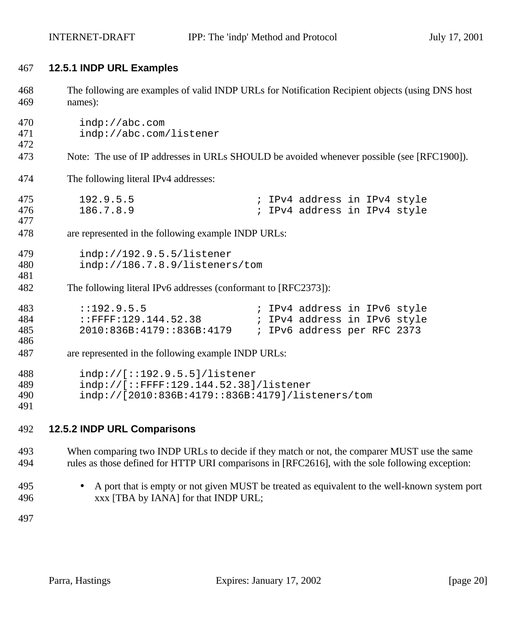#### **12.5.1 INDP URL Examples**

| 468<br>469               | The following are examples of valid INDP URLs for Notification Recipient objects (using DNS host<br>names):                    |  |  |
|--------------------------|--------------------------------------------------------------------------------------------------------------------------------|--|--|
| 470<br>471<br>472        | indp://abc.com<br>indp://abc.com/listener                                                                                      |  |  |
| 473                      | Note: The use of IP addresses in URLs SHOULD be avoided whenever possible (see [RFC1900]).                                     |  |  |
| 474                      | The following literal IPv4 addresses:                                                                                          |  |  |
| 475<br>476<br>477        | 192.9.5.5<br>; IPv4 address in IPv4 style<br>186.7.8.9<br>; IPv4 address in IPv4 style                                         |  |  |
| 478                      | are represented in the following example INDP URLs:                                                                            |  |  |
| 479<br>480<br>481<br>482 | indp://192.9.5.5/listener<br>indp://186.7.8.9/listeners/tom<br>The following literal IPv6 addresses (conformant to [RFC2373]): |  |  |
| 483<br>484<br>485<br>486 | : : 192.9.5.5<br>; IPv4 address in IPv6 style<br>2010:836B:4179::836B:4179<br>; IPv6 address per RFC 2373                      |  |  |
| 487                      | are represented in the following example INDP URLs:                                                                            |  |  |
| 488<br>489<br>490<br>491 | indp://[::192.9.5.5]/listener<br>$indp://[::FFFF:129.144.52.38]/listener$<br>indp://[2010:836B:4179::836B:4179]/listeners/tom  |  |  |

### **12.5.2 INDP URL Comparisons**

 When comparing two INDP URLs to decide if they match or not, the comparer MUST use the same rules as those defined for HTTP URI comparisons in [RFC2616], with the sole following exception:

 • A port that is empty or not given MUST be treated as equivalent to the well-known system port xxx [TBA by IANA] for that INDP URL;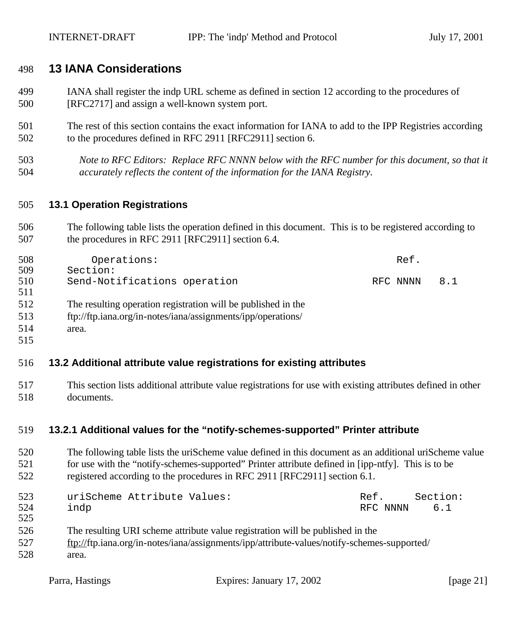## **13 IANA Considerations**

- IANA shall register the indp URL scheme as defined in section 12 according to the procedures of [RFC2717] and assign a well-known system port.
- The rest of this section contains the exact information for IANA to add to the IPP Registries according to the procedures defined in RFC 2911 [RFC2911] section 6.
- *Note to RFC Editors: Replace RFC NNNN below with the RFC number for this document, so that it accurately reflects the content of the information for the IANA Registry.*

#### **13.1 Operation Registrations**

 The following table lists the operation defined in this document. This is to be registered according to 507 the procedures in RFC 2911 [RFC2911] section 6.4.

| 508 | Operations:                                                   | Ref.     |     |
|-----|---------------------------------------------------------------|----------|-----|
| 509 | Section:                                                      |          |     |
| 510 | Send-Notifications operation                                  | RFC NNNN | 8.1 |
| 511 |                                                               |          |     |
| 512 | The resulting operation registration will be published in the |          |     |
| 513 | ftp://ftp.iana.org/in-notes/iana/assignments/ipp/operations/  |          |     |
| 514 | area.                                                         |          |     |
| 515 |                                                               |          |     |

#### **13.2 Additional attribute value registrations for existing attributes**

 This section lists additional attribute value registrations for use with existing attributes defined in other documents.

#### **13.2.1 Additional values for the "notify-schemes-supported" Printer attribute**

 The following table lists the uriScheme value defined in this document as an additional uriScheme value for use with the "notify-schemes-supported" Printer attribute defined in [ipp-ntfy]. This is to be registered according to the procedures in RFC 2911 [RFC2911] section 6.1.

| 523 | uriScheme Attribute Values:                                                    | Ref. | Section:     |
|-----|--------------------------------------------------------------------------------|------|--------------|
| 524 | indp                                                                           |      | RFC NNNN 6.1 |
| 525 |                                                                                |      |              |
| 526 | The resulting URI scheme attribute value registration will be published in the |      |              |

- ftp://ftp.iana.org/in-notes/iana/assignments/ipp/attribute-values/notify-schemes-supported/
- area.
	-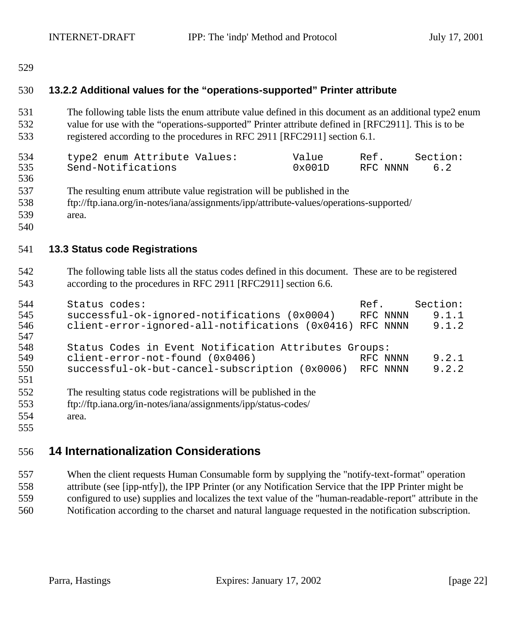## **13.2.2 Additional values for the "operations-supported" Printer attribute**

 The following table lists the enum attribute value defined in this document as an additional type2 enum value for use with the "operations-supported" Printer attribute defined in [RFC2911]. This is to be registered according to the procedures in RFC 2911 [RFC2911] section 6.1.

| 534 | type2 enum Attribute Values: | Value            | Ref.     | Section: |
|-----|------------------------------|------------------|----------|----------|
| 535 | Send-Notifications           | $0 \times 001$ D | RFC NNNN | 6.2      |

- The resulting enum attribute value registration will be published in the
- ftp://ftp.iana.org/in-notes/iana/assignments/ipp/attribute-values/operations-supported/
- area.
- 

#### **13.3 Status code Registrations**

 The following table lists all the status codes defined in this document. These are to be registered according to the procedures in RFC 2911 [RFC2911] section 6.6.

| 544        | Status codes:                                                    | Ref.     | Section: |
|------------|------------------------------------------------------------------|----------|----------|
| 545        | successful-ok-ignored-notifications (0x0004)                     | RFC NNNN | 9.1.1    |
| 546<br>547 | client-error-ignored-all-notifications (0x0416)                  | RFC NNNN | 9.1.2    |
| 548        | Status Codes in Event Notification Attributes Groups:            |          |          |
| 549        | client-error-not-found (0x0406)                                  | RFC NNNN | 9.2.1    |
| 550<br>551 | successful-ok-but-cancel-subscription (0x0006) RFC NNNN          |          | 9.2.2    |
| 552        | The resulting status code registrations will be published in the |          |          |
| 553        | ftp://ftp.iana.org/in-notes/iana/assignments/ipp/status-codes/   |          |          |
| 554        | area.                                                            |          |          |

## **14 Internationalization Considerations**

 When the client requests Human Consumable form by supplying the "notify-text-format" operation attribute (see [ipp-ntfy]), the IPP Printer (or any Notification Service that the IPP Printer might be configured to use) supplies and localizes the text value of the "human-readable-report" attribute in the Notification according to the charset and natural language requested in the notification subscription.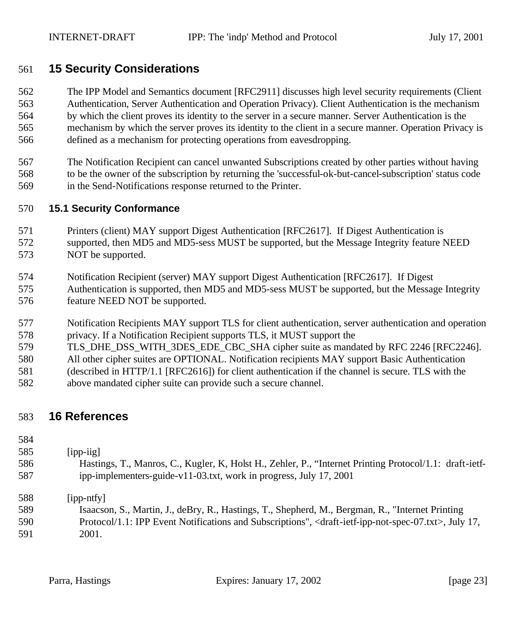## **15 Security Considerations**

 The IPP Model and Semantics document [RFC2911] discusses high level security requirements (Client Authentication, Server Authentication and Operation Privacy). Client Authentication is the mechanism by which the client proves its identity to the server in a secure manner. Server Authentication is the mechanism by which the server proves its identity to the client in a secure manner. Operation Privacy is defined as a mechanism for protecting operations from eavesdropping.

 The Notification Recipient can cancel unwanted Subscriptions created by other parties without having to be the owner of the subscription by returning the 'successful-ok-but-cancel-subscription' status code in the Send-Notifications response returned to the Printer.

#### **15.1 Security Conformance**

- Printers (client) MAY support Digest Authentication [RFC2617]. If Digest Authentication is supported, then MD5 and MD5-sess MUST be supported, but the Message Integrity feature NEED NOT be supported.
- Notification Recipient (server) MAY support Digest Authentication [RFC2617]. If Digest
- Authentication is supported, then MD5 and MD5-sess MUST be supported, but the Message Integrity feature NEED NOT be supported.
- Notification Recipients MAY support TLS for client authentication, server authentication and operation privacy. If a Notification Recipient supports TLS, it MUST support the
- 579 TLS DHE DSS WITH 3DES EDE CBC SHA cipher suite as mandated by RFC 2246 [RFC2246].
- All other cipher suites are OPTIONAL. Notification recipients MAY support Basic Authentication
- (described in HTTP/1.1 [RFC2616]) for client authentication if the channel is secure. TLS with the
- above mandated cipher suite can provide such a secure channel.

## **16 References**

## [ipp-iig]

 Hastings, T., Manros, C., Kugler, K, Holst H., Zehler, P., "Internet Printing Protocol/1.1: draft-ietf-ipp-implementers-guide-v11-03.txt, work in progress, July 17, 2001

[ipp-ntfy]

- Isaacson, S., Martin, J., deBry, R., Hastings, T., Shepherd, M., Bergman, R., "Internet Printing Protocol/1.1: IPP Event Notifications and Subscriptions", <draft-ietf-ipp-not-spec-07.txt>, July 17,
- 2001.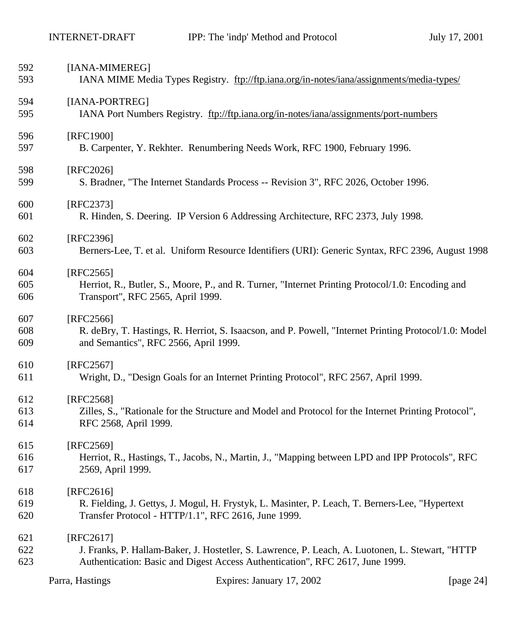| Parra, Hastings | Expires: January 17, 2002 | [page $24$ ] |
|-----------------|---------------------------|--------------|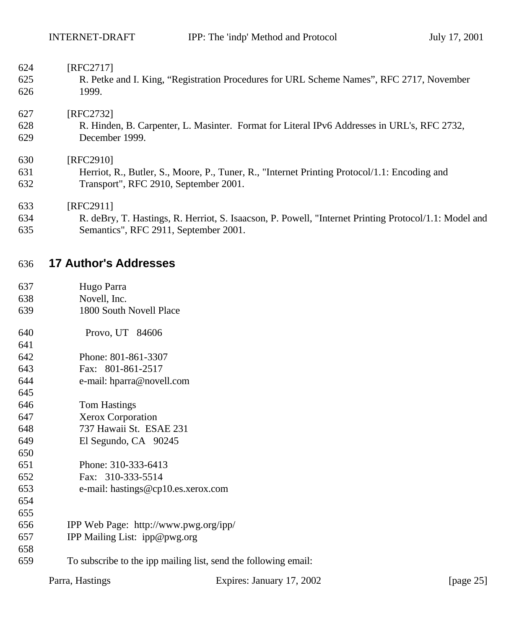| 624 | [RFC2717]                                                                                             |
|-----|-------------------------------------------------------------------------------------------------------|
| 625 | R. Petke and I. King, "Registration Procedures for URL Scheme Names", RFC 2717, November              |
| 626 | 1999.                                                                                                 |
| 627 | [RFC2732]                                                                                             |
| 628 | R. Hinden, B. Carpenter, L. Masinter. Format for Literal IPv6 Addresses in URL's, RFC 2732,           |
| 629 | December 1999.                                                                                        |
| 630 | [RFC2910]                                                                                             |
| 631 | Herriot, R., Butler, S., Moore, P., Tuner, R., "Internet Printing Protocol/1.1: Encoding and          |
| 632 | Transport", RFC 2910, September 2001.                                                                 |
| 633 | [RFC2911]                                                                                             |
| 634 | R. deBry, T. Hastings, R. Herriot, S. Isaacson, P. Powell, "Internet Printing Protocol/1.1: Model and |
| 635 | Semantics", RFC 2911, September 2001.                                                                 |
| 636 | <b>17 Author's Addresses</b>                                                                          |

- Hugo Parra
- Novell, Inc. 1800 South Novell Place
- Provo, UT 84606
- 
- Phone: 801-861-3307
- Fax: 801-861-2517
- e-mail: hparra@novell.com
- Tom Hastings
- Xerox Corporation
- 737 Hawaii St. ESAE 231 El Segundo, CA 90245
- Phone: 310-333-6413
- Fax: 310-333-5514
- e-mail: hastings@cp10.es.xerox.com
- 
- 
- IPP Web Page: http://www.pwg.org/ipp/
- IPP Mailing List: ipp@pwg.org
- To subscribe to the ipp mailing list, send the following email:
	-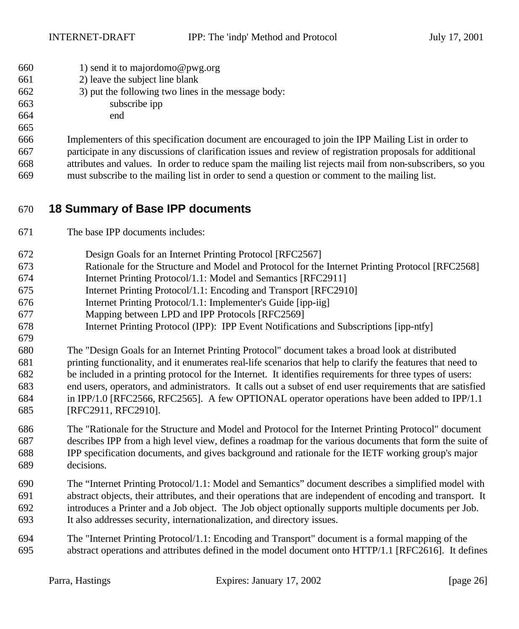- 660 1) send it to majordomo@pwg.org
- 2) leave the subject line blank
- 3) put the following two lines in the message body:
- subscribe ipp
- end
- 

 Implementers of this specification document are encouraged to join the IPP Mailing List in order to participate in any discussions of clarification issues and review of registration proposals for additional attributes and values. In order to reduce spam the mailing list rejects mail from non-subscribers, so you

must subscribe to the mailing list in order to send a question or comment to the mailing list.

## **18 Summary of Base IPP documents**

- The base IPP documents includes:
- Design Goals for an Internet Printing Protocol [RFC2567]
- Rationale for the Structure and Model and Protocol for the Internet Printing Protocol [RFC2568]
- Internet Printing Protocol/1.1: Model and Semantics [RFC2911]
- Internet Printing Protocol/1.1: Encoding and Transport [RFC2910]
- Internet Printing Protocol/1.1: Implementer's Guide [ipp-iig]
- Mapping between LPD and IPP Protocols [RFC2569]
- Internet Printing Protocol (IPP): IPP Event Notifications and Subscriptions [ipp-ntfy]
- The "Design Goals for an Internet Printing Protocol" document takes a broad look at distributed printing functionality, and it enumerates real-life scenarios that help to clarify the features that need to be included in a printing protocol for the Internet. It identifies requirements for three types of users: end users, operators, and administrators. It calls out a subset of end user requirements that are satisfied in IPP/1.0 [RFC2566, RFC2565]. A few OPTIONAL operator operations have been added to IPP/1.1 [RFC2911, RFC2910].
- The "Rationale for the Structure and Model and Protocol for the Internet Printing Protocol" document describes IPP from a high level view, defines a roadmap for the various documents that form the suite of IPP specification documents, and gives background and rationale for the IETF working group's major decisions.
- The "Internet Printing Protocol/1.1: Model and Semantics" document describes a simplified model with abstract objects, their attributes, and their operations that are independent of encoding and transport. It introduces a Printer and a Job object. The Job object optionally supports multiple documents per Job. It also addresses security, internationalization, and directory issues.
- The "Internet Printing Protocol/1.1: Encoding and Transport" document is a formal mapping of the abstract operations and attributes defined in the model document onto HTTP/1.1 [RFC2616]. It defines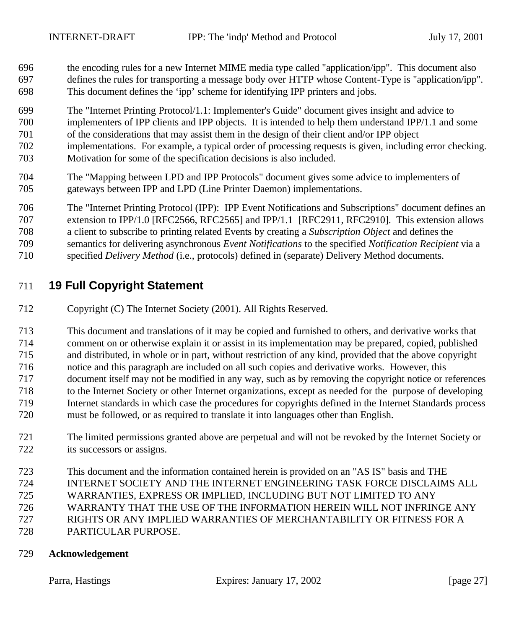- the encoding rules for a new Internet MIME media type called "application/ipp". This document also defines the rules for transporting a message body over HTTP whose Content-Type is "application/ipp". This document defines the 'ipp' scheme for identifying IPP printers and jobs.
- The "Internet Printing Protocol/1.1: Implementer's Guide" document gives insight and advice to implementers of IPP clients and IPP objects. It is intended to help them understand IPP/1.1 and some of the considerations that may assist them in the design of their client and/or IPP object
- implementations. For example, a typical order of processing requests is given, including error checking. Motivation for some of the specification decisions is also included.
- The "Mapping between LPD and IPP Protocols" document gives some advice to implementers of gateways between IPP and LPD (Line Printer Daemon) implementations.

 The "Internet Printing Protocol (IPP): IPP Event Notifications and Subscriptions" document defines an extension to IPP/1.0 [RFC2566, RFC2565] and IPP/1.1 [RFC2911, RFC2910]. This extension allows a client to subscribe to printing related Events by creating a *Subscription Object* and defines the semantics for delivering asynchronous *Event Notifications* to the specified *Notification Recipient* via a specified *Delivery Method* (i.e., protocols) defined in (separate) Delivery Method documents.

## **19 Full Copyright Statement**

Copyright (C) The Internet Society (2001). All Rights Reserved.

 This document and translations of it may be copied and furnished to others, and derivative works that comment on or otherwise explain it or assist in its implementation may be prepared, copied, published and distributed, in whole or in part, without restriction of any kind, provided that the above copyright notice and this paragraph are included on all such copies and derivative works. However, this document itself may not be modified in any way, such as by removing the copyright notice or references to the Internet Society or other Internet organizations, except as needed for the purpose of developing Internet standards in which case the procedures for copyrights defined in the Internet Standards process must be followed, or as required to translate it into languages other than English.

- The limited permissions granted above are perpetual and will not be revoked by the Internet Society or its successors or assigns.
- This document and the information contained herein is provided on an "AS IS" basis and THE
- INTERNET SOCIETY AND THE INTERNET ENGINEERING TASK FORCE DISCLAIMS ALL
- WARRANTIES, EXPRESS OR IMPLIED, INCLUDING BUT NOT LIMITED TO ANY
- WARRANTY THAT THE USE OF THE INFORMATION HEREIN WILL NOT INFRINGE ANY
- RIGHTS OR ANY IMPLIED WARRANTIES OF MERCHANTABILITY OR FITNESS FOR A
- PARTICULAR PURPOSE.

#### **Acknowledgement**